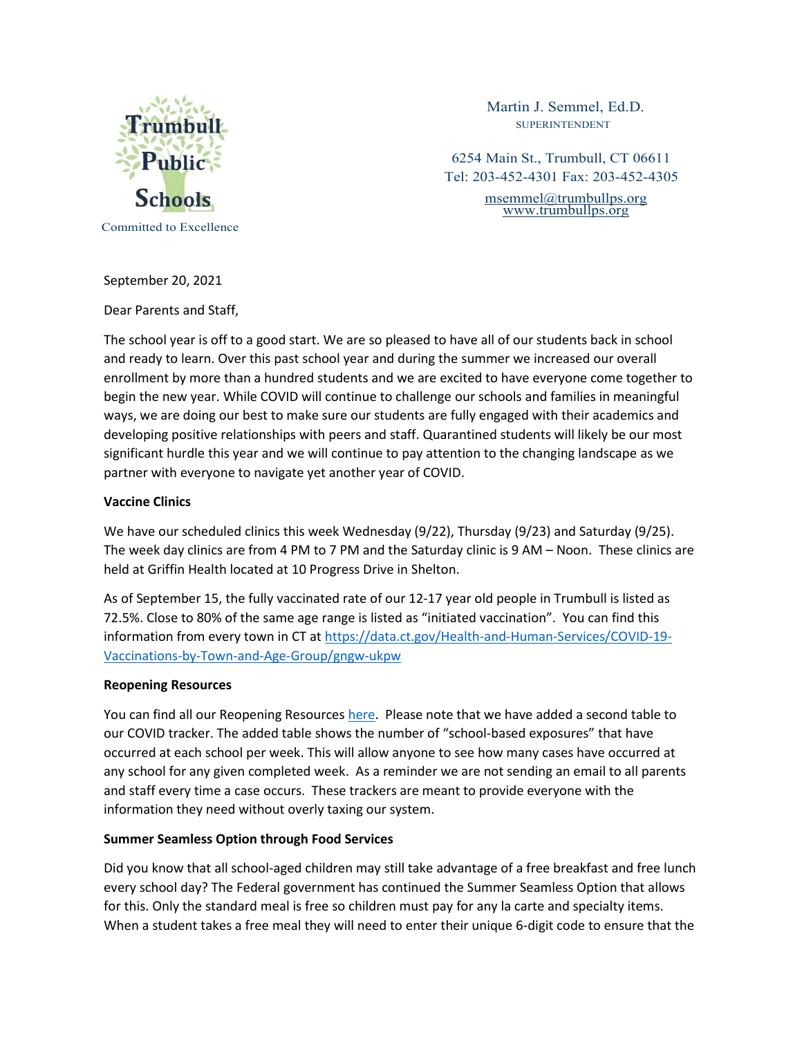

Martin J. Semmel, Ed.D. SUPERINTENDENT

6254 Main St., Trumbull, CT 06611 Tel: 203-452-4301 Fax: 203-452-4305 [msemmel@trumbullps.org](mailto:msemmel@trumbullps.org)

[www.trumbullps.org](http://www.trumbullps.org/)

September 20, 2021

Dear Parents and Staff,

The school year is off to a good start. We are so pleased to have all of our students back in school and ready to learn. Over this past school year and during the summer we increased our overall enrollment by more than a hundred students and we are excited to have everyone come together to begin the new year. While COVID will continue to challenge our schools and families in meaningful ways, we are doing our best to make sure our students are fully engaged with their academics and developing positive relationships with peers and staff. Quarantined students will likely be our most significant hurdle this year and we will continue to pay attention to the changing landscape as we partner with everyone to navigate yet another year of COVID.

## **Vaccine Clinics**

We have our scheduled clinics this week Wednesday (9/22), Thursday (9/23) and Saturday (9/25). The week day clinics are from 4 PM to 7 PM and the Saturday clinic is 9 AM – Noon. These clinics are held at Griffin Health located at 10 Progress Drive in Shelton.

As of September 15, the fully vaccinated rate of our 12-17 year old people in Trumbull is listed as 72.5%. Close to 80% of the same age range is listed as "initiated vaccination". You can find this information from every town in CT at [https://data.ct.gov/Health-and-Human-Services/COVID-19-](https://data.ct.gov/Health-and-Human-Services/COVID-19-Vaccinations-by-Town-and-Age-Group/gngw-ukpw) [Vaccinations-by-Town-and-Age-Group/gngw-ukpw](https://data.ct.gov/Health-and-Human-Services/COVID-19-Vaccinations-by-Town-and-Age-Group/gngw-ukpw)

## **Reopening Resources**

You can find all our Reopening Resources [here.](https://www.trumbullps.org/schools/reopen20.html) Please note that we have added a second table to our COVID tracker. The added table shows the number of "school-based exposures" that have occurred at each school per week. This will allow anyone to see how many cases have occurred at any school for any given completed week. As a reminder we are not sending an email to all parents and staff every time a case occurs. These trackers are meant to provide everyone with the information they need without overly taxing our system.

## **Summer Seamless Option through Food Services**

Did you know that all school-aged children may still take advantage of a free breakfast and free lunch every school day? The Federal government has continued the Summer Seamless Option that allows for this. Only the standard meal is free so children must pay for any la carte and specialty items. When a student takes a free meal they will need to enter their unique 6-digit code to ensure that the